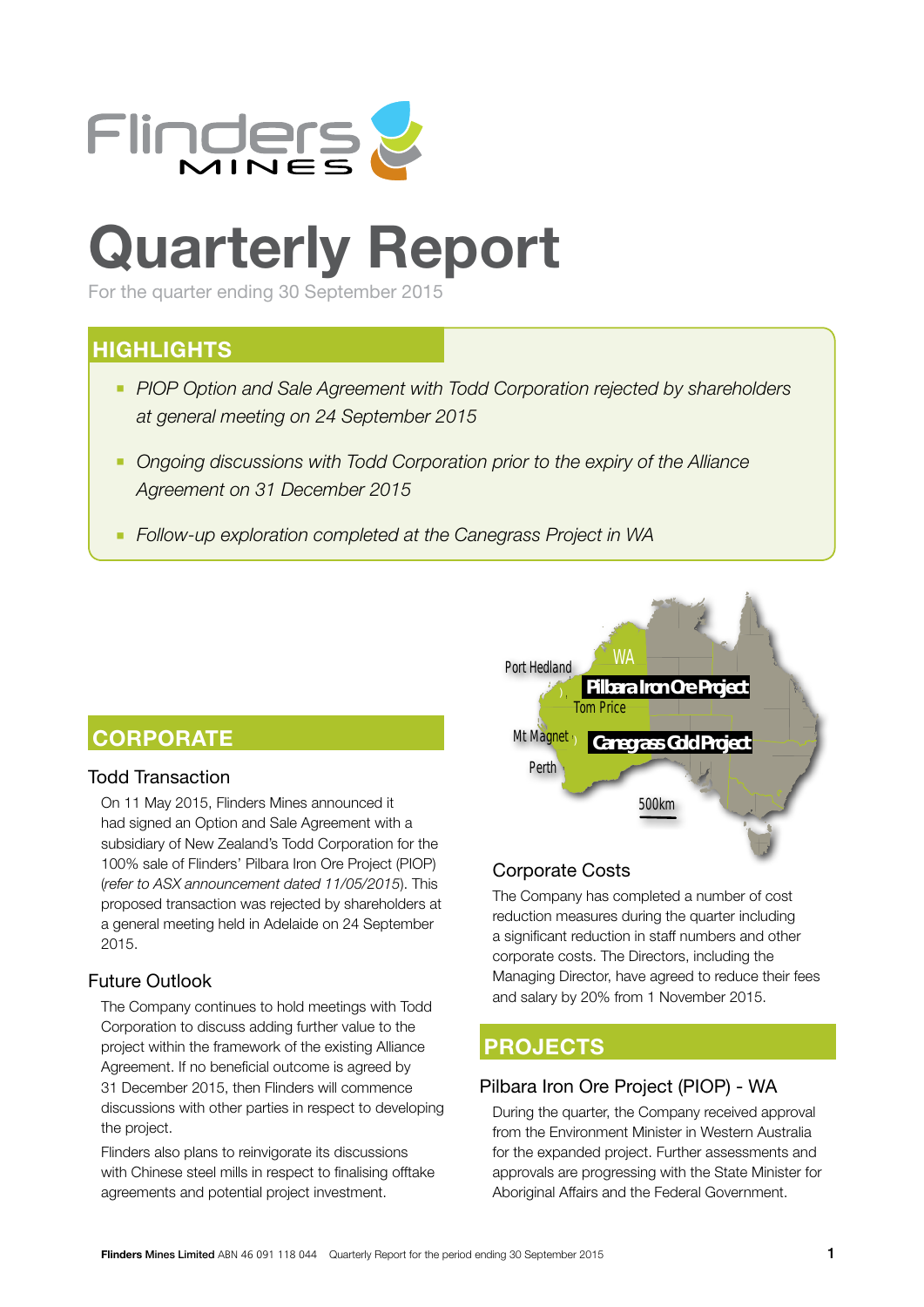

# **Quarterly Report**

For the quarter ending 30 September 2015

## **HIGHLIGHTS**

- **PIOP Option and Sale Agreement with Todd Corporation rejected by shareholders** *at general meeting on 24 September 2015*
- *Ongoing discussions with Todd Corporation prior to the expiry of the Alliance Agreement on 31 December 2015*
- *Follow-up exploration completed at the Canegrass Project in WA*

## **CORPORATE**

## Todd Transaction

On 11 May 2015, Flinders Mines announced it had signed an Option and Sale Agreement with a subsidiary of New Zealand's Todd Corporation for the 100% sale of Flinders' Pilbara Iron Ore Project (PIOP) (*refer to ASX announcement dated 11/05/2015*). This proposed transaction was rejected by shareholders at a general meeting held in Adelaide on 24 September 2015.

## Future Outlook

The Company continues to hold meetings with Todd Corporation to discuss adding further value to the project within the framework of the existing Alliance Agreement. If no beneficial outcome is agreed by 31 December 2015, then Flinders will commence discussions with other parties in respect to developing the project.

Flinders also plans to reinvigorate its discussions with Chinese steel mills in respect to finalising offtake agreements and potential project investment.



## Corporate Costs

The Company has completed a number of cost reduction measures during the quarter including a significant reduction in staff numbers and other corporate costs. The Directors, including the Managing Director, have agreed to reduce their fees and salary by 20% from 1 November 2015.

## **PROJECTS**

## Pilbara Iron Ore Project (PIOP) - WA

During the quarter, the Company received approval from the Environment Minister in Western Australia for the expanded project. Further assessments and approvals are progressing with the State Minister for Aboriginal Affairs and the Federal Government.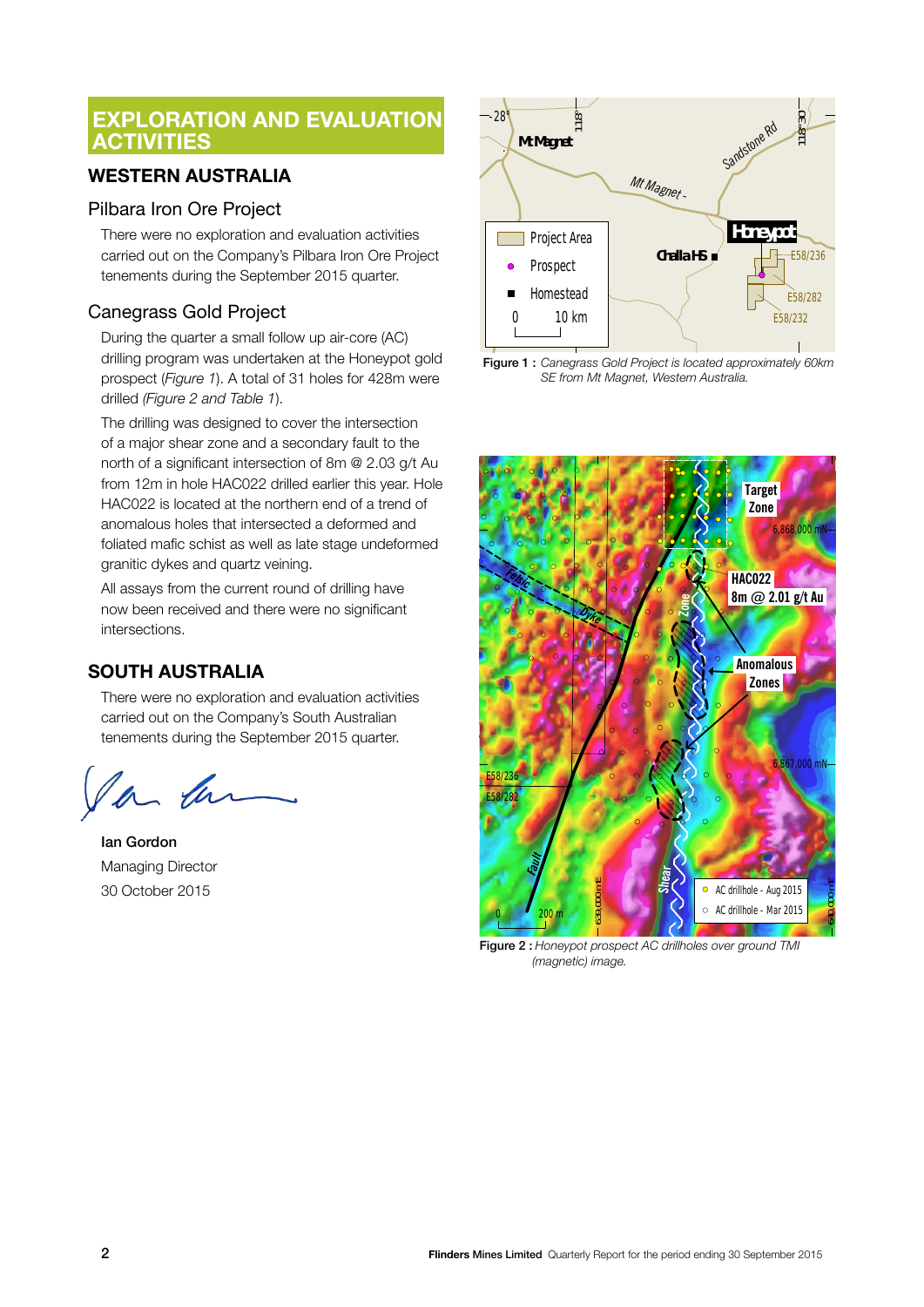## **EXPLORATION AND EVALUATION ACTIVITIES**

## **WESTERN AUSTRALIA**

## Pilbara Iron Ore Project

There were no exploration and evaluation activities carried out on the Company's Pilbara Iron Ore Project tenements during the September 2015 quarter.

## Canegrass Gold Project

During the quarter a small follow up air-core (AC) drilling program was undertaken at the Honeypot gold prospect (*Figure 1*). A total of 31 holes for 428m were drilled *(Figure 2 and Table 1*).

The drilling was designed to cover the intersection of a major shear zone and a secondary fault to the north of a significant intersection of 8m @ 2.03 g/t Au from 12m in hole HAC022 drilled earlier this year. Hole HAC022 is located at the northern end of a trend of anomalous holes that intersected a deformed and foliated mafic schist as well as late stage undeformed granitic dykes and quartz veining.

All assays from the current round of drilling have now been received and there were no significant intersections.

## **SOUTH AUSTRALIA**

There were no exploration and evaluation activities carried out on the Company's South Australian tenements during the September 2015 quarter.

la

Ian Gordon Managing Director 30 October 2015



Figure 1 : *Canegrass Gold Project is located approximately 60km SE from Mt Magnet, Western Australia.*



Figure 2 : *Honeypot prospect AC drillholes over ground TMI (magnetic) image.*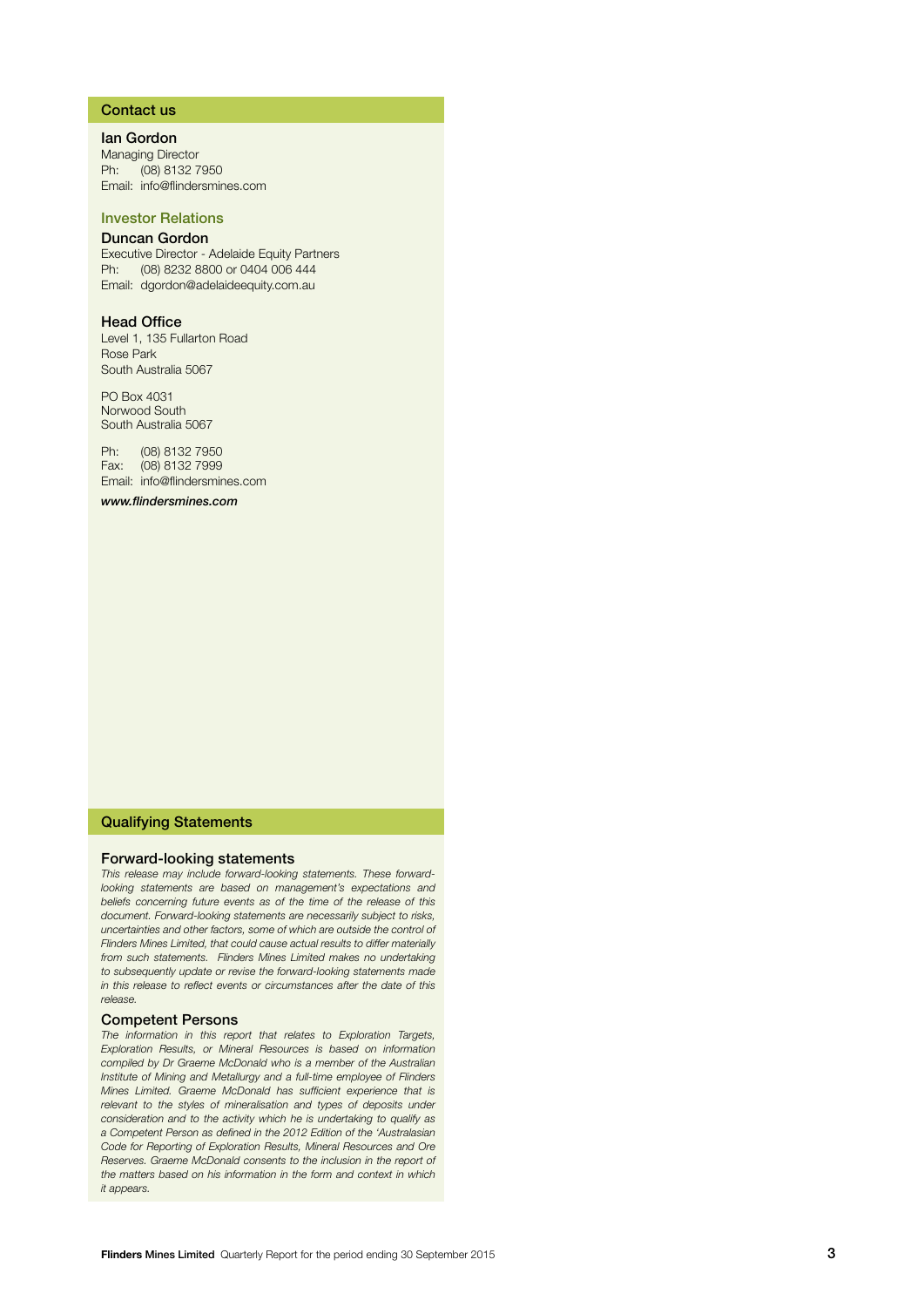#### Contact us

Ian Gordon Managing Director Ph: (08) 8132 7950 Email: info@flindersmines.com

#### Investor Relations

#### Duncan Gordon

Executive Director - Adelaide Equity Partners Ph: (08) 8232 8800 or 0404 006 444 Email: dgordon@adelaideequity.com.au

#### Head Office

Level 1, 135 Fullarton Road Rose Park South Australia 5067

PO Box 4031 Norwood South South Australia 5067

Ph: (08) 8132 7950 Fax: (08) 8132 7999 Email: info@flindersmines.com

*www.flindersmines.com*

#### Qualifying Statements

#### Forward-looking statements

*This release may include forward-looking statements. These forwardlooking statements are based on management's expectations and beliefs concerning future events as of the time of the release of this document. Forward-looking statements are necessarily subject to risks, uncertainties and other factors, some of which are outside the control of Flinders Mines Limited, that could cause actual results to differ materially from such statements. Flinders Mines Limited makes no undertaking to subsequently update or revise the forward-looking statements made in this release to reflect events or circumstances after the date of this release.*

#### Competent Persons

*The information in this report that relates to Exploration Targets, Exploration Results, or Mineral Resources is based on information compiled by Dr Graeme McDonald who is a member of the Australian Institute of Mining and Metallurgy and a full-time employee of Flinders Mines Limited. Graeme McDonald has sufficient experience that is*  relevant to the styles of mineralisation and types of deposits under *consideration and to the activity which he is undertaking to qualify as a Competent Person as defined in the 2012 Edition of the 'Australasian Code for Reporting of Exploration Results, Mineral Resources and Ore Reserves. Graeme McDonald consents to the inclusion in the report of the matters based on his information in the form and context in which it appears.*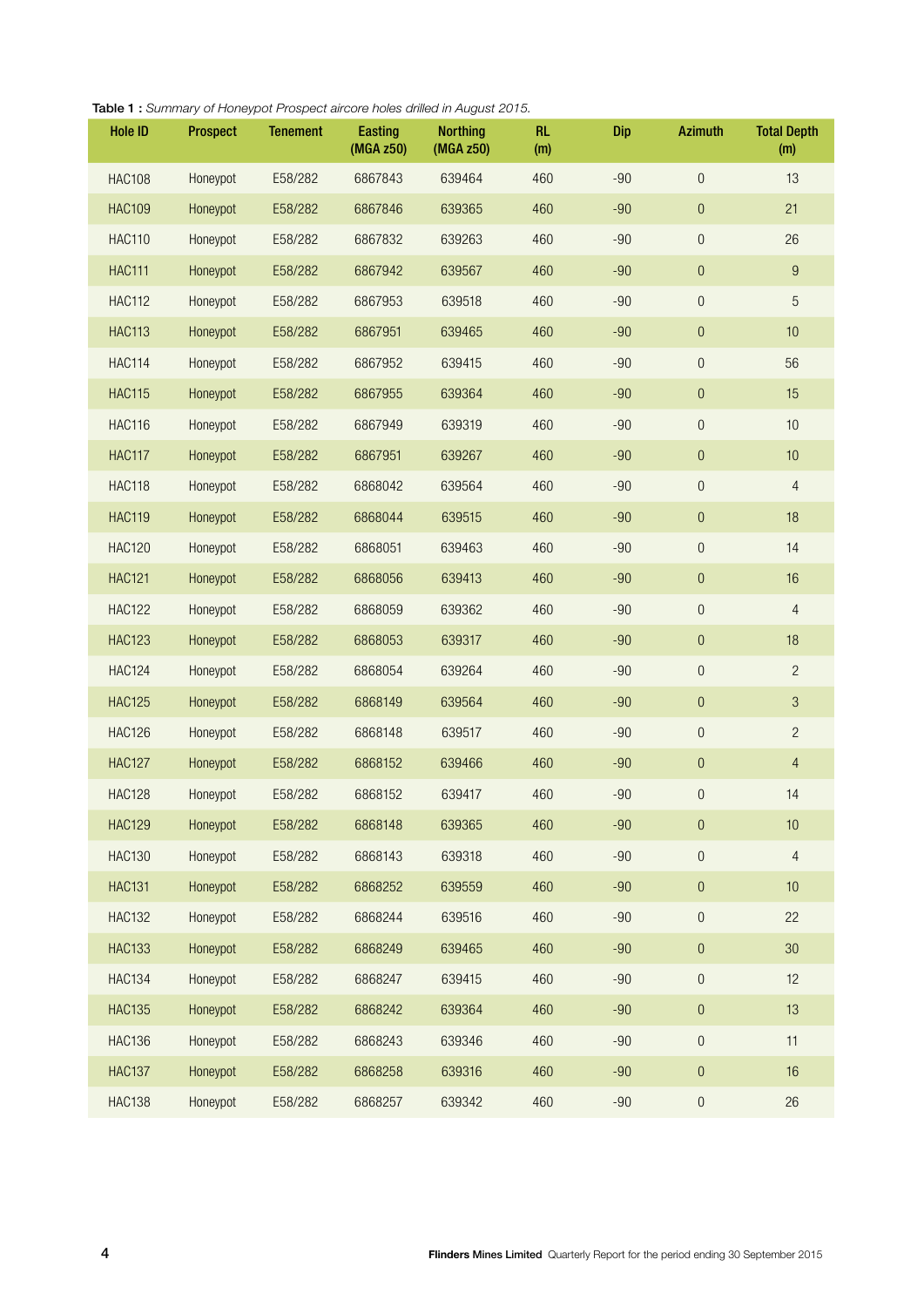| <b>Hole ID</b> | Prospect | <b>Tenement</b> | <b>Easting</b><br>(MGA z50) | <b>Northing</b><br>(MGA z50) | <b>RL</b><br>(m) | Dip   | <b>Azimuth</b>   | <b>Total Depth</b><br>(m) |
|----------------|----------|-----------------|-----------------------------|------------------------------|------------------|-------|------------------|---------------------------|
| <b>HAC108</b>  | Honeypot | E58/282         | 6867843                     | 639464                       | 460              | $-90$ | $\overline{0}$   | 13                        |
| <b>HAC109</b>  | Honeypot | E58/282         | 6867846                     | 639365                       | 460              | $-90$ | $\boldsymbol{0}$ | 21                        |
| <b>HAC110</b>  | Honeypot | E58/282         | 6867832                     | 639263                       | 460              | $-90$ | $\theta$         | 26                        |
| <b>HAC111</b>  | Honeypot | E58/282         | 6867942                     | 639567                       | 460              | $-90$ | $\boldsymbol{0}$ | $\boldsymbol{9}$          |
| <b>HAC112</b>  | Honeypot | E58/282         | 6867953                     | 639518                       | 460              | $-90$ | $\boldsymbol{0}$ | 5                         |
| <b>HAC113</b>  | Honeypot | E58/282         | 6867951                     | 639465                       | 460              | $-90$ | $\boldsymbol{0}$ | 10                        |
| <b>HAC114</b>  | Honeypot | E58/282         | 6867952                     | 639415                       | 460              | $-90$ | $\theta$         | 56                        |
| <b>HAC115</b>  | Honeypot | E58/282         | 6867955                     | 639364                       | 460              | $-90$ | $\boldsymbol{0}$ | 15                        |
| <b>HAC116</b>  | Honeypot | E58/282         | 6867949                     | 639319                       | 460              | $-90$ | $\boldsymbol{0}$ | 10                        |
| <b>HAC117</b>  | Honeypot | E58/282         | 6867951                     | 639267                       | 460              | $-90$ | $\theta$         | 10                        |
| <b>HAC118</b>  | Honeypot | E58/282         | 6868042                     | 639564                       | 460              | $-90$ | $\boldsymbol{0}$ | $\overline{4}$            |
| <b>HAC119</b>  | Honeypot | E58/282         | 6868044                     | 639515                       | 460              | $-90$ | $\theta$         | 18                        |
| <b>HAC120</b>  | Honeypot | E58/282         | 6868051                     | 639463                       | 460              | $-90$ | $\theta$         | 14                        |
| <b>HAC121</b>  | Honeypot | E58/282         | 6868056                     | 639413                       | 460              | $-90$ | $\boldsymbol{0}$ | 16                        |
| <b>HAC122</b>  | Honeypot | E58/282         | 6868059                     | 639362                       | 460              | $-90$ | $\mathbf 0$      | $\overline{4}$            |
| <b>HAC123</b>  | Honeypot | E58/282         | 6868053                     | 639317                       | 460              | $-90$ | $\theta$         | 18                        |
| <b>HAC124</b>  | Honeypot | E58/282         | 6868054                     | 639264                       | 460              | $-90$ | $\boldsymbol{0}$ | $\overline{2}$            |
| <b>HAC125</b>  | Honeypot | E58/282         | 6868149                     | 639564                       | 460              | $-90$ | $\theta$         | $\mathfrak{S}$            |
| <b>HAC126</b>  | Honeypot | E58/282         | 6868148                     | 639517                       | 460              | $-90$ | $\theta$         | $\overline{c}$            |
| <b>HAC127</b>  | Honeypot | E58/282         | 6868152                     | 639466                       | 460              | $-90$ | $\boldsymbol{0}$ | $\overline{4}$            |
| <b>HAC128</b>  | Honeypot | E58/282         | 6868152                     | 639417                       | 460              | $-90$ | $\overline{0}$   | 14                        |
| <b>HAC129</b>  | Honeypot | E58/282         | 6868148                     | 639365                       | 460              | $-90$ | $\boldsymbol{0}$ | 10                        |
| <b>HAC130</b>  | Honeypot | E58/282         | 6868143                     | 639318                       | 460              | $-90$ | $\boldsymbol{0}$ | $\overline{4}$            |
| <b>HAC131</b>  | Honeypot | E58/282         | 6868252                     | 639559                       | 460              | $-90$ | $\boldsymbol{0}$ | 10                        |
| <b>HAC132</b>  | Honeypot | E58/282         | 6868244                     | 639516                       | 460              | $-90$ | $\boldsymbol{0}$ | 22                        |
| <b>HAC133</b>  | Honeypot | E58/282         | 6868249                     | 639465                       | 460              | $-90$ | $\boldsymbol{0}$ | $30\,$                    |
| <b>HAC134</b>  | Honeypot | E58/282         | 6868247                     | 639415                       | 460              | $-90$ | $\boldsymbol{0}$ | 12                        |
| <b>HAC135</b>  | Honeypot | E58/282         | 6868242                     | 639364                       | 460              | $-90$ | $\boldsymbol{0}$ | 13                        |
| <b>HAC136</b>  | Honeypot | E58/282         | 6868243                     | 639346                       | 460              | $-90$ | $\boldsymbol{0}$ | 11                        |
| <b>HAC137</b>  | Honeypot | E58/282         | 6868258                     | 639316                       | 460              | $-90$ | $\boldsymbol{0}$ | 16                        |
| <b>HAC138</b>  | Honeypot | E58/282         | 6868257                     | 639342                       | 460              | $-90$ | $\boldsymbol{0}$ | 26                        |

#### Table 1 : *Summary of Honeypot Prospect aircore holes drilled in August 2015.*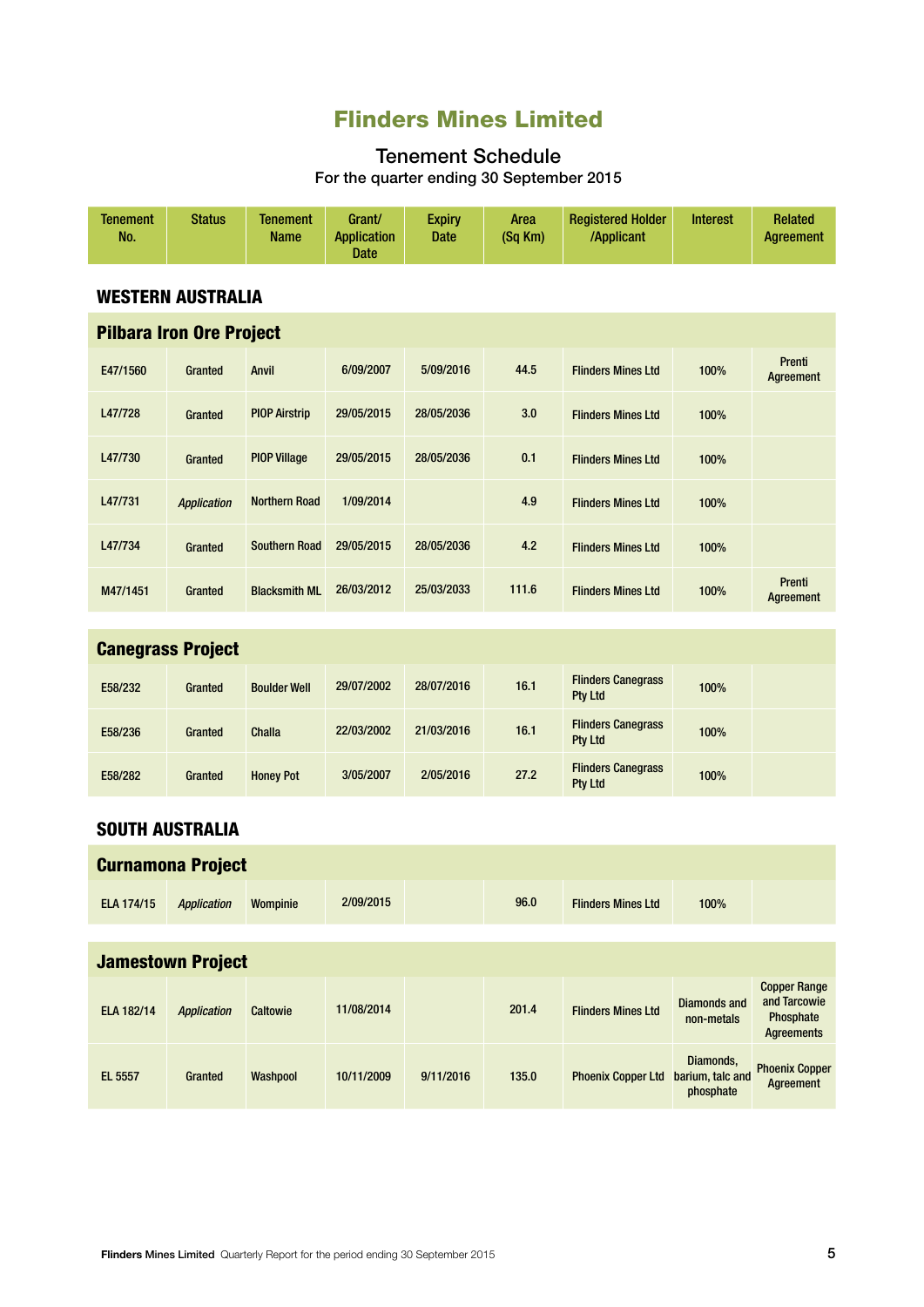# Flinders Mines Limited

## Tenement Schedule For the quarter ending 30 September 2015

| <b>Tenement</b><br>No.   | <b>Status</b>                   | <b>Tenement</b><br>Name | Grant/<br><b>Application</b><br><b>Date</b> | <b>Expiry</b><br><b>Date</b> | Area<br>(Sq Km) | <b>Registered Holder</b><br>/Applicant      | <b>Interest</b> | <b>Related</b><br><b>Agreement</b> |
|--------------------------|---------------------------------|-------------------------|---------------------------------------------|------------------------------|-----------------|---------------------------------------------|-----------------|------------------------------------|
|                          | <b>WESTERN AUSTRALIA</b>        |                         |                                             |                              |                 |                                             |                 |                                    |
|                          | <b>Pilbara Iron Ore Project</b> |                         |                                             |                              |                 |                                             |                 |                                    |
| E47/1560                 | Granted                         | <b>Anvil</b>            | 6/09/2007                                   | 5/09/2016                    | 44.5            | <b>Flinders Mines Ltd</b>                   | 100%            | Prenti<br>Agreement                |
| L47/728                  | Granted                         | <b>PIOP Airstrip</b>    | 29/05/2015                                  | 28/05/2036                   | 3.0             | <b>Flinders Mines Ltd</b>                   | 100%            |                                    |
| L47/730                  | Granted                         | <b>PIOP Village</b>     | 29/05/2015                                  | 28/05/2036                   | 0.1             | <b>Flinders Mines Ltd</b>                   | 100%            |                                    |
| L47/731                  | <b>Application</b>              | <b>Northern Road</b>    | 1/09/2014                                   |                              | 4.9             | <b>Flinders Mines Ltd</b>                   | 100%            |                                    |
| L47/734                  | Granted                         | <b>Southern Road</b>    | 29/05/2015                                  | 28/05/2036                   | 4.2             | <b>Flinders Mines Ltd</b>                   | 100%            |                                    |
| M47/1451                 | Granted                         | <b>Blacksmith ML</b>    | 26/03/2012                                  | 25/03/2033                   | 111.6           | <b>Flinders Mines Ltd</b>                   | 100%            | Prenti<br>Agreement                |
|                          |                                 |                         |                                             |                              |                 |                                             |                 |                                    |
|                          | <b>Canegrass Project</b>        |                         |                                             |                              |                 |                                             |                 |                                    |
| E58/232                  | Granted                         | <b>Boulder Well</b>     | 29/07/2002                                  | 28/07/2016                   | 16.1            | <b>Flinders Canegrass</b><br><b>Pty Ltd</b> | 100%            |                                    |
| E58/236                  | Granted                         | <b>Challa</b>           | 22/03/2002                                  | 21/03/2016                   | 16.1            | <b>Flinders Canegrass</b><br><b>Pty Ltd</b> | 100%            |                                    |
| E58/282                  | Granted                         | <b>Honey Pot</b>        | 3/05/2007                                   | 2/05/2016                    | 27.2            | <b>Flinders Canegrass</b><br>Pty Ltd        | 100%            |                                    |
| <b>SOUTH AUSTRALIA</b>   |                                 |                         |                                             |                              |                 |                                             |                 |                                    |
| <b>Curnamona Project</b> |                                 |                         |                                             |                              |                 |                                             |                 |                                    |
| <b>ELA 174/15</b>        | <b>Application</b>              | Wompinie                | 2/09/2015                                   |                              | 96.0            | <b>Flinders Mines Ltd</b>                   | 100%            |                                    |
|                          |                                 |                         |                                             |                              |                 |                                             |                 |                                    |

| <b>Jamestown Project</b> |                    |          |            |           |       |                           |                                            |                                                                       |
|--------------------------|--------------------|----------|------------|-----------|-------|---------------------------|--------------------------------------------|-----------------------------------------------------------------------|
| ELA 182/14               | <b>Application</b> | Caltowie | 11/08/2014 |           | 201.4 | <b>Flinders Mines Ltd</b> | Diamonds and<br>non-metals                 | <b>Copper Range</b><br>and Tarcowie<br>Phosphate<br><b>Agreements</b> |
| <b>EL 5557</b>           | Granted            | Washpool | 10/11/2009 | 9/11/2016 | 135.0 | <b>Phoenix Copper Ltd</b> | Diamonds,<br>barium, talc and<br>phosphate | <b>Phoenix Copper</b><br>Agreement                                    |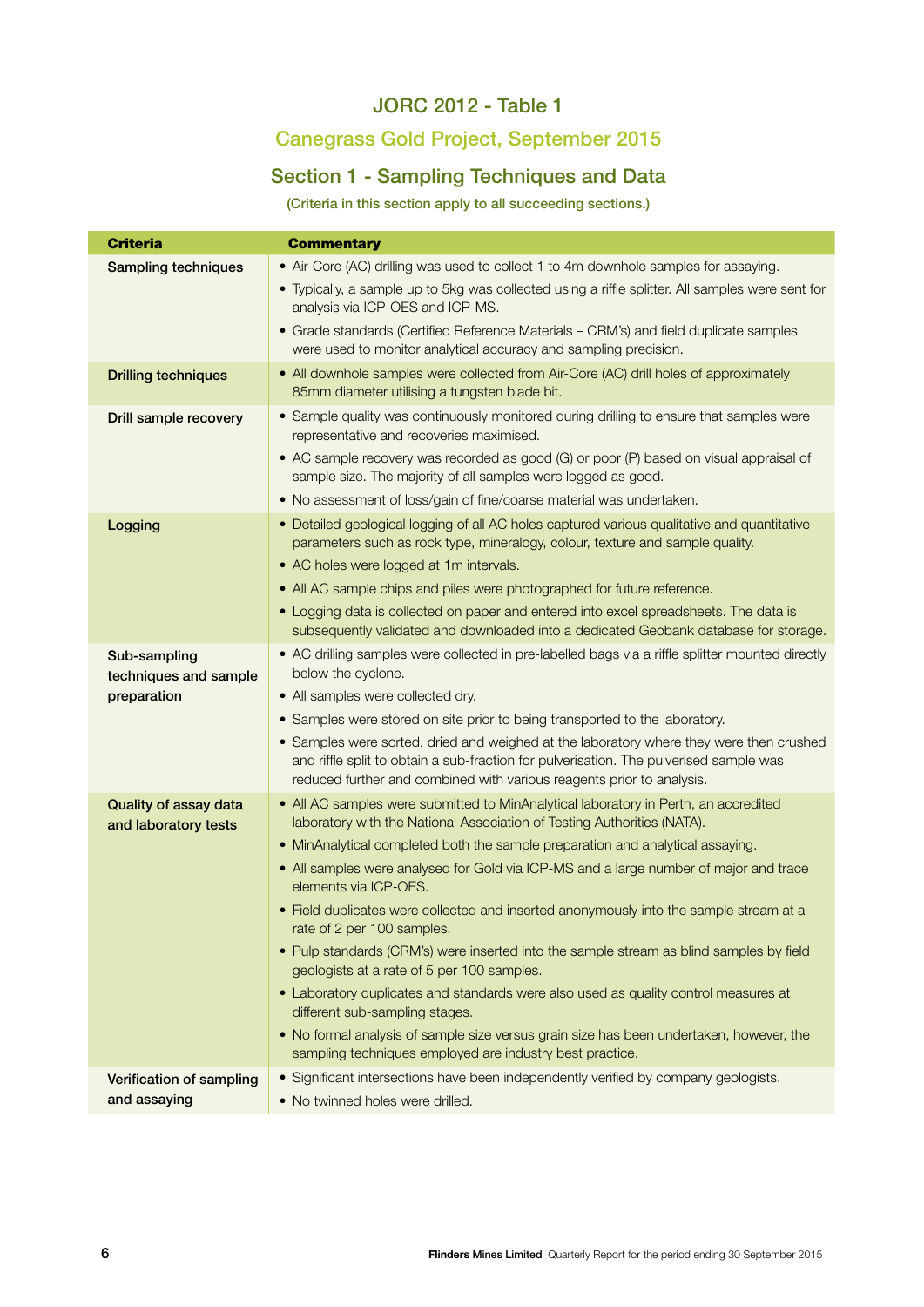## JORC 2012 - Table 1

# Canegrass Gold Project, September 2015

## Section 1 - Sampling Techniques and Data

(Criteria in this section apply to all succeeding sections.)

| <b>Criteria</b>                                      | <b>Commentary</b>                                                                                                                                                                                                                                                                                                                                                                                                                                                                                                                                                                                                                                                                                                                                                                                                                                                                                                   |
|------------------------------------------------------|---------------------------------------------------------------------------------------------------------------------------------------------------------------------------------------------------------------------------------------------------------------------------------------------------------------------------------------------------------------------------------------------------------------------------------------------------------------------------------------------------------------------------------------------------------------------------------------------------------------------------------------------------------------------------------------------------------------------------------------------------------------------------------------------------------------------------------------------------------------------------------------------------------------------|
| <b>Sampling techniques</b>                           | • Air-Core (AC) drilling was used to collect 1 to 4m downhole samples for assaying.<br>• Typically, a sample up to 5kg was collected using a riffle splitter. All samples were sent for<br>analysis via ICP-OES and ICP-MS.<br>• Grade standards (Certified Reference Materials - CRM's) and field duplicate samples<br>were used to monitor analytical accuracy and sampling precision.                                                                                                                                                                                                                                                                                                                                                                                                                                                                                                                            |
| <b>Drilling techniques</b>                           | • All downhole samples were collected from Air-Core (AC) drill holes of approximately<br>85mm diameter utilising a tungsten blade bit.                                                                                                                                                                                                                                                                                                                                                                                                                                                                                                                                                                                                                                                                                                                                                                              |
| Drill sample recovery                                | • Sample quality was continuously monitored during drilling to ensure that samples were<br>representative and recoveries maximised.<br>• AC sample recovery was recorded as good (G) or poor (P) based on visual appraisal of<br>sample size. The majority of all samples were logged as good.<br>• No assessment of loss/gain of fine/coarse material was undertaken.                                                                                                                                                                                                                                                                                                                                                                                                                                                                                                                                              |
| Logging                                              | • Detailed geological logging of all AC holes captured various qualitative and quantitative<br>parameters such as rock type, mineralogy, colour, texture and sample quality.<br>• AC holes were logged at 1m intervals.<br>• All AC sample chips and piles were photographed for future reference.<br>• Logging data is collected on paper and entered into excel spreadsheets. The data is<br>subsequently validated and downloaded into a dedicated Geobank database for storage.                                                                                                                                                                                                                                                                                                                                                                                                                                 |
| Sub-sampling<br>techniques and sample<br>preparation | • AC drilling samples were collected in pre-labelled bags via a riffle splitter mounted directly<br>below the cyclone.<br>• All samples were collected dry.<br>• Samples were stored on site prior to being transported to the laboratory.<br>• Samples were sorted, dried and weighed at the laboratory where they were then crushed<br>and riffle split to obtain a sub-fraction for pulverisation. The pulverised sample was<br>reduced further and combined with various reagents prior to analysis.                                                                                                                                                                                                                                                                                                                                                                                                            |
| Quality of assay data<br>and laboratory tests        | • All AC samples were submitted to MinAnalytical laboratory in Perth, an accredited<br>laboratory with the National Association of Testing Authorities (NATA).<br>• MinAnalytical completed both the sample preparation and analytical assaying.<br>• All samples were analysed for Gold via ICP-MS and a large number of major and trace<br>elements via ICP-OES.<br>• Field duplicates were collected and inserted anonymously into the sample stream at a<br>rate of 2 per 100 samples.<br>• Pulp standards (CRM's) were inserted into the sample stream as blind samples by field<br>geologists at a rate of 5 per 100 samples.<br>• Laboratory duplicates and standards were also used as quality control measures at<br>different sub-sampling stages.<br>. No formal analysis of sample size versus grain size has been undertaken, however, the<br>sampling techniques employed are industry best practice. |
| Verification of sampling<br>and assaying             | • Significant intersections have been independently verified by company geologists.<br>• No twinned holes were drilled.                                                                                                                                                                                                                                                                                                                                                                                                                                                                                                                                                                                                                                                                                                                                                                                             |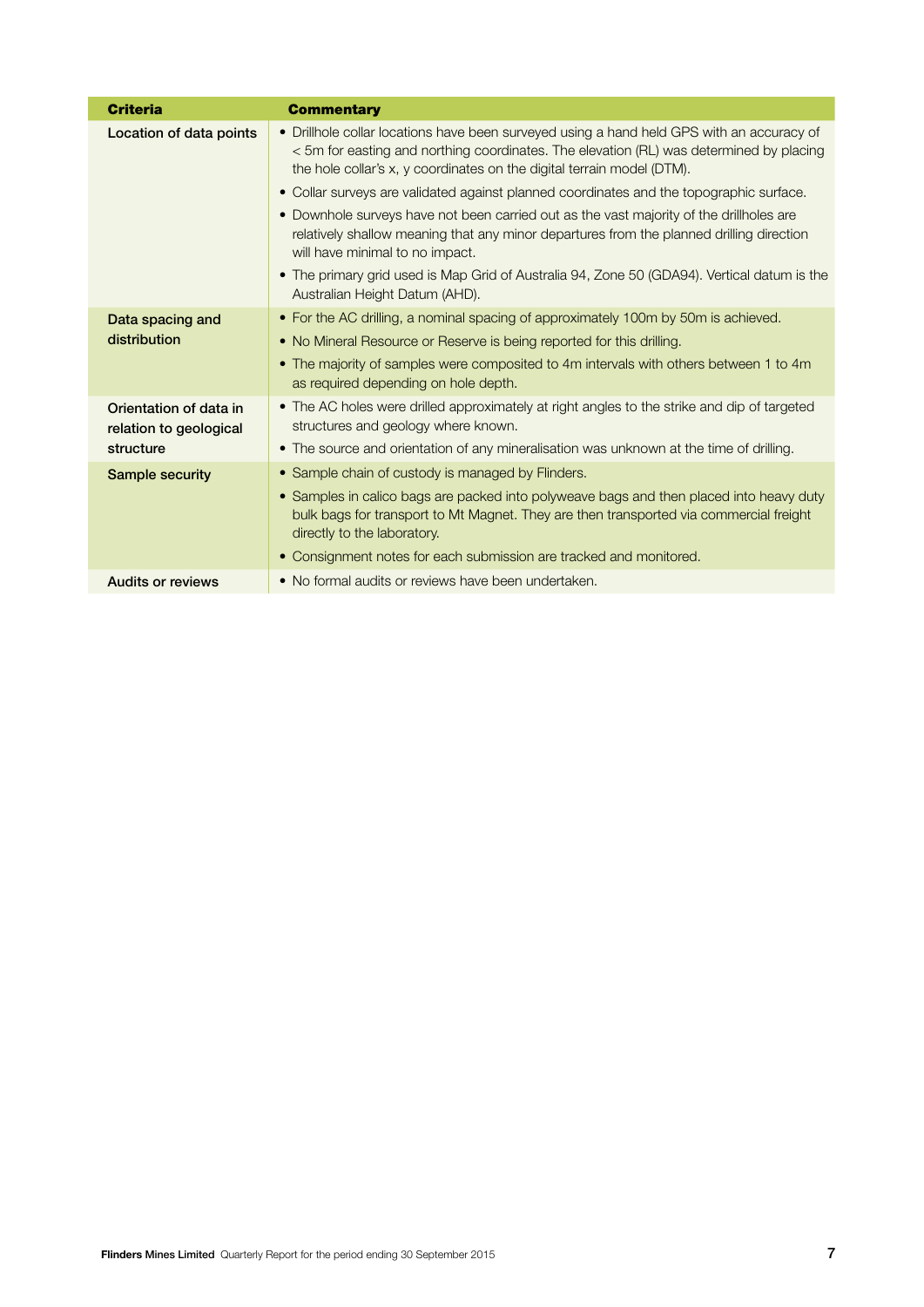| <b>Criteria</b>                                               | <b>Commentary</b>                                                                                                                                                                                                                                                                                                                                                                                                                                                                                                                                                                                                                                                                                                    |
|---------------------------------------------------------------|----------------------------------------------------------------------------------------------------------------------------------------------------------------------------------------------------------------------------------------------------------------------------------------------------------------------------------------------------------------------------------------------------------------------------------------------------------------------------------------------------------------------------------------------------------------------------------------------------------------------------------------------------------------------------------------------------------------------|
| Location of data points                                       | • Drillhole collar locations have been surveyed using a hand held GPS with an accuracy of<br>< 5m for easting and northing coordinates. The elevation (RL) was determined by placing<br>the hole collar's x, y coordinates on the digital terrain model (DTM).<br>• Collar surveys are validated against planned coordinates and the topographic surface.<br>• Downhole surveys have not been carried out as the vast majority of the drillholes are<br>relatively shallow meaning that any minor departures from the planned drilling direction<br>will have minimal to no impact.<br>• The primary grid used is Map Grid of Australia 94, Zone 50 (GDA94). Vertical datum is the<br>Australian Height Datum (AHD). |
| Data spacing and<br>distribution                              | • For the AC drilling, a nominal spacing of approximately 100m by 50m is achieved.<br>• No Mineral Resource or Reserve is being reported for this drilling.<br>• The majority of samples were composited to 4m intervals with others between 1 to 4m<br>as required depending on hole depth.                                                                                                                                                                                                                                                                                                                                                                                                                         |
| Orientation of data in<br>relation to geological<br>structure | • The AC holes were drilled approximately at right angles to the strike and dip of targeted<br>structures and geology where known.<br>• The source and orientation of any mineralisation was unknown at the time of drilling.                                                                                                                                                                                                                                                                                                                                                                                                                                                                                        |
| <b>Sample security</b>                                        | • Sample chain of custody is managed by Flinders.<br>• Samples in calico bags are packed into polyweave bags and then placed into heavy duty<br>bulk bags for transport to Mt Magnet. They are then transported via commercial freight<br>directly to the laboratory.<br>• Consignment notes for each submission are tracked and monitored.                                                                                                                                                                                                                                                                                                                                                                          |
| <b>Audits or reviews</b>                                      | • No formal audits or reviews have been undertaken.                                                                                                                                                                                                                                                                                                                                                                                                                                                                                                                                                                                                                                                                  |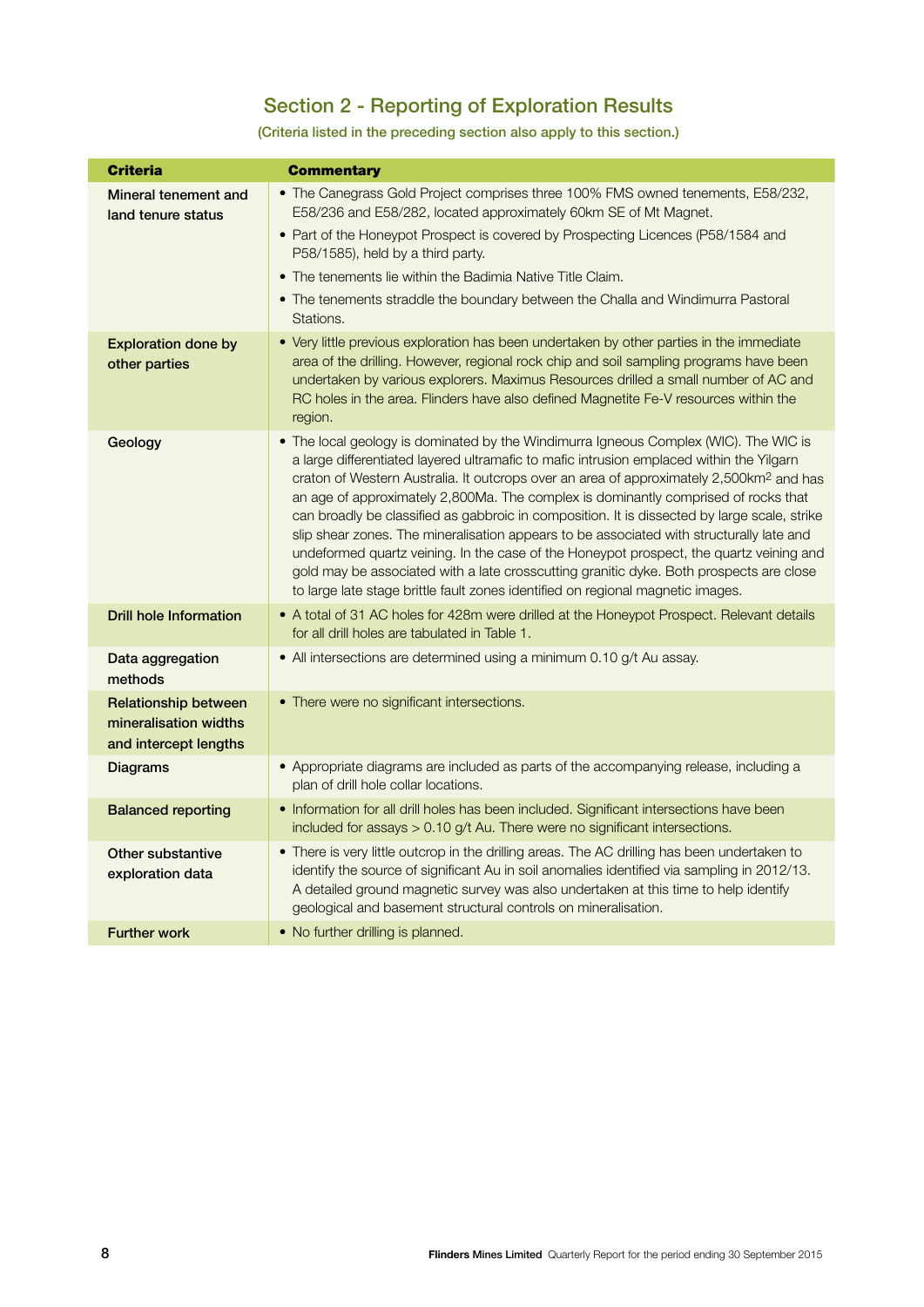# Section 2 - Reporting of Exploration Results

### (Criteria listed in the preceding section also apply to this section.)

| <b>Criteria</b>                                                               | <b>Commentary</b>                                                                                                                                                                                                                                                                                                                                                                                                                                                                                                                                                                                                                                                                                                                                                                                                                                  |
|-------------------------------------------------------------------------------|----------------------------------------------------------------------------------------------------------------------------------------------------------------------------------------------------------------------------------------------------------------------------------------------------------------------------------------------------------------------------------------------------------------------------------------------------------------------------------------------------------------------------------------------------------------------------------------------------------------------------------------------------------------------------------------------------------------------------------------------------------------------------------------------------------------------------------------------------|
| Mineral tenement and<br>land tenure status                                    | • The Canegrass Gold Project comprises three 100% FMS owned tenements, E58/232,<br>E58/236 and E58/282, located approximately 60km SE of Mt Magnet.<br>• Part of the Honeypot Prospect is covered by Prospecting Licences (P58/1584 and<br>P58/1585), held by a third party.<br>• The tenements lie within the Badimia Native Title Claim.<br>• The tenements straddle the boundary between the Challa and Windimurra Pastoral<br>Stations.                                                                                                                                                                                                                                                                                                                                                                                                        |
| <b>Exploration done by</b><br>other parties                                   | • Very little previous exploration has been undertaken by other parties in the immediate<br>area of the drilling. However, regional rock chip and soil sampling programs have been<br>undertaken by various explorers. Maximus Resources drilled a small number of AC and<br>RC holes in the area. Flinders have also defined Magnetite Fe-V resources within the<br>region.                                                                                                                                                                                                                                                                                                                                                                                                                                                                       |
| Geology                                                                       | • The local geology is dominated by the Windimurra Igneous Complex (WIC). The WIC is<br>a large differentiated layered ultramafic to mafic intrusion emplaced within the Yilgarn<br>craton of Western Australia. It outcrops over an area of approximately 2,500km <sup>2</sup> and has<br>an age of approximately 2,800Ma. The complex is dominantly comprised of rocks that<br>can broadly be classified as gabbroic in composition. It is dissected by large scale, strike<br>slip shear zones. The mineralisation appears to be associated with structurally late and<br>undeformed quartz veining. In the case of the Honeypot prospect, the quartz veining and<br>gold may be associated with a late crosscutting granitic dyke. Both prospects are close<br>to large late stage brittle fault zones identified on regional magnetic images. |
| <b>Drill hole Information</b>                                                 | • A total of 31 AC holes for 428m were drilled at the Honeypot Prospect. Relevant details<br>for all drill holes are tabulated in Table 1.                                                                                                                                                                                                                                                                                                                                                                                                                                                                                                                                                                                                                                                                                                         |
| Data aggregation<br>methods                                                   | • All intersections are determined using a minimum 0.10 g/t Au assay.                                                                                                                                                                                                                                                                                                                                                                                                                                                                                                                                                                                                                                                                                                                                                                              |
| <b>Relationship between</b><br>mineralisation widths<br>and intercept lengths | • There were no significant intersections.                                                                                                                                                                                                                                                                                                                                                                                                                                                                                                                                                                                                                                                                                                                                                                                                         |
| <b>Diagrams</b>                                                               | • Appropriate diagrams are included as parts of the accompanying release, including a<br>plan of drill hole collar locations.                                                                                                                                                                                                                                                                                                                                                                                                                                                                                                                                                                                                                                                                                                                      |
| <b>Balanced reporting</b>                                                     | • Information for all drill holes has been included. Significant intersections have been<br>included for assays > 0.10 g/t Au. There were no significant intersections.                                                                                                                                                                                                                                                                                                                                                                                                                                                                                                                                                                                                                                                                            |
| Other substantive<br>exploration data                                         | . There is very little outcrop in the drilling areas. The AC drilling has been undertaken to<br>identify the source of significant Au in soil anomalies identified via sampling in 2012/13.<br>A detailed ground magnetic survey was also undertaken at this time to help identify<br>geological and basement structural controls on mineralisation.                                                                                                                                                                                                                                                                                                                                                                                                                                                                                               |
| <b>Further work</b>                                                           | • No further drilling is planned.                                                                                                                                                                                                                                                                                                                                                                                                                                                                                                                                                                                                                                                                                                                                                                                                                  |